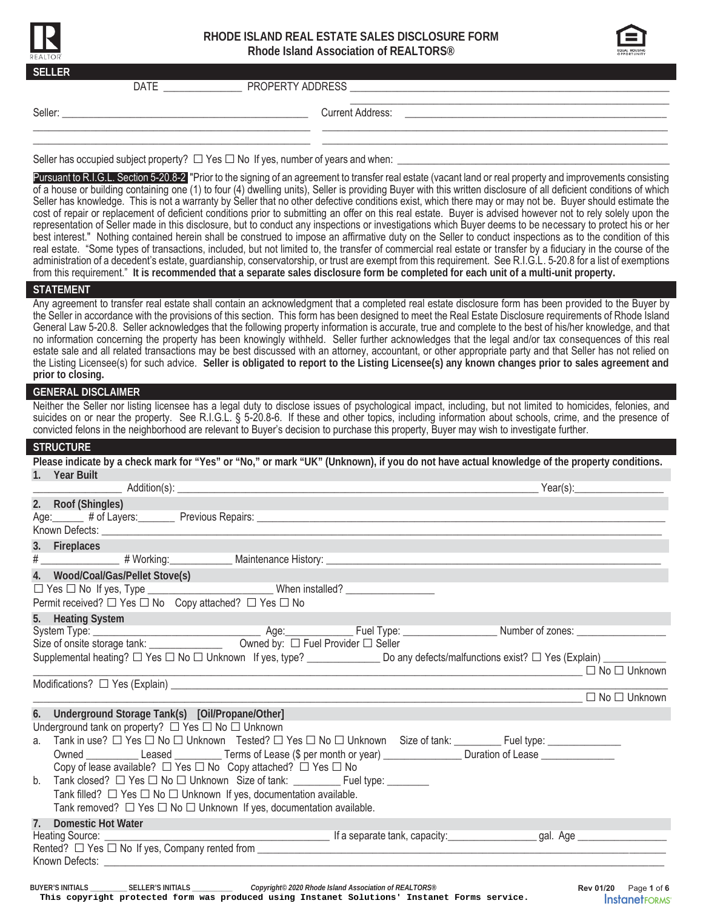

# **RHODE ISLAND REAL ESTATE SALES DISCLOSURE FORM Rhode Island Association of REALTORS®**



| <b>SELLER</b>                                                                                                                                                        |                                                                                                                                                                                                                                                                                                                                                                                                                                                                                                                                                                                                                                                                                                                                                                                                                                                                                                                                                                                                                                                                                                                                                                                                                                                                                                                                                                                                                                                                         |
|----------------------------------------------------------------------------------------------------------------------------------------------------------------------|-------------------------------------------------------------------------------------------------------------------------------------------------------------------------------------------------------------------------------------------------------------------------------------------------------------------------------------------------------------------------------------------------------------------------------------------------------------------------------------------------------------------------------------------------------------------------------------------------------------------------------------------------------------------------------------------------------------------------------------------------------------------------------------------------------------------------------------------------------------------------------------------------------------------------------------------------------------------------------------------------------------------------------------------------------------------------------------------------------------------------------------------------------------------------------------------------------------------------------------------------------------------------------------------------------------------------------------------------------------------------------------------------------------------------------------------------------------------------|
| DATE PROPERTY ADDRESS                                                                                                                                                |                                                                                                                                                                                                                                                                                                                                                                                                                                                                                                                                                                                                                                                                                                                                                                                                                                                                                                                                                                                                                                                                                                                                                                                                                                                                                                                                                                                                                                                                         |
|                                                                                                                                                                      | <b>Current Address:</b>                                                                                                                                                                                                                                                                                                                                                                                                                                                                                                                                                                                                                                                                                                                                                                                                                                                                                                                                                                                                                                                                                                                                                                                                                                                                                                                                                                                                                                                 |
| Seller has occupied subject property? $\Box$ Yes $\Box$ No If yes, number of years and when:                                                                         |                                                                                                                                                                                                                                                                                                                                                                                                                                                                                                                                                                                                                                                                                                                                                                                                                                                                                                                                                                                                                                                                                                                                                                                                                                                                                                                                                                                                                                                                         |
|                                                                                                                                                                      | Pursuant to R.I.G.L. Section 5-20.8-2 "Prior to the signing of an agreement to transfer real estate (vacant land or real property and improvements consisting<br>of a house or building containing one (1) to four (4) dwelling units), Seller is providing Buyer with this written disclosure of all deficient conditions of which<br>Seller has knowledge. This is not a warranty by Seller that no other defective conditions exist, which there may or may not be. Buyer should estimate the<br>cost of repair or replacement of deficient conditions prior to submitting an offer on this real estate. Buyer is advised however not to rely solely upon the<br>representation of Seller made in this disclosure, but to conduct any inspections or investigations which Buyer deems to be necessary to protect his or her<br>best interest." Nothing contained herein shall be construed to impose an affirmative duty on the Seller to conduct inspections as to the condition of this<br>real estate. "Some types of transactions, included, but not limited to, the transfer of commercial real estate or transfer by a fiduciary in the course of the<br>administration of a decedent's estate, quardianship, conservatorship, or trust are exempt from this requirement. See R.I.G.L. 5-20.8 for a list of exemptions<br>from this requirement." It is recommended that a separate sales disclosure form be completed for each unit of a multi-unit property. |
| <b>STATEMENT</b>                                                                                                                                                     |                                                                                                                                                                                                                                                                                                                                                                                                                                                                                                                                                                                                                                                                                                                                                                                                                                                                                                                                                                                                                                                                                                                                                                                                                                                                                                                                                                                                                                                                         |
| prior to closing.                                                                                                                                                    | Any agreement to transfer real estate shall contain an acknowledgment that a completed real estate disclosure form has been provided to the Buyer by<br>the Seller in accordance with the provisions of this section. This form has been designed to meet the Real Estate Disclosure requirements of Rhode Island<br>General Law 5-20.8. Seller acknowledges that the following property information is accurate, true and complete to the best of his/her knowledge, and that<br>no information concerning the property has been knowingly withheld. Seller further acknowledges that the legal and/or tax consequences of this real<br>estate sale and all related transactions may be best discussed with an attorney, accountant, or other appropriate party and that Seller has not relied on<br>the Listing Licensee(s) for such advice. Seller is obligated to report to the Listing Licensee(s) any known changes prior to sales agreement and                                                                                                                                                                                                                                                                                                                                                                                                                                                                                                                  |
| <b>GENERAL DISCLAIMER</b><br>convicted felons in the neighborhood are relevant to Buyer's decision to purchase this property, Buyer may wish to investigate further. | Neither the Seller nor listing licensee has a legal duty to disclose issues of psychological impact, including, but not limited to homicides, felonies, and<br>suicides on or near the property. See R.I.G.L. § 5-20.8-6. If these and other topics, including information about schools, crime, and the presence of                                                                                                                                                                                                                                                                                                                                                                                                                                                                                                                                                                                                                                                                                                                                                                                                                                                                                                                                                                                                                                                                                                                                                    |
| <b>STRUCTURE</b>                                                                                                                                                     |                                                                                                                                                                                                                                                                                                                                                                                                                                                                                                                                                                                                                                                                                                                                                                                                                                                                                                                                                                                                                                                                                                                                                                                                                                                                                                                                                                                                                                                                         |
| 1. Year Built<br>$A$ ddition $(c)$                                                                                                                                   | Please indicate by a check mark for "Yes" or "No," or mark "UK" (Unknown), if you do not have actual knowledge of the property conditions.<br>$V_{\Omega}$                                                                                                                                                                                                                                                                                                                                                                                                                                                                                                                                                                                                                                                                                                                                                                                                                                                                                                                                                                                                                                                                                                                                                                                                                                                                                                              |

| 2. Roof (Shingles)                                                                                              |                                                                                                                                                  |
|-----------------------------------------------------------------------------------------------------------------|--------------------------------------------------------------------------------------------------------------------------------------------------|
|                                                                                                                 |                                                                                                                                                  |
|                                                                                                                 |                                                                                                                                                  |
| 3. Fireplaces                                                                                                   |                                                                                                                                                  |
|                                                                                                                 |                                                                                                                                                  |
| 4. Wood/Coal/Gas/Pellet Stove(s)                                                                                |                                                                                                                                                  |
|                                                                                                                 |                                                                                                                                                  |
| Permit received? $\Box$ Yes $\Box$ No Copy attached? $\Box$ Yes $\Box$ No                                       |                                                                                                                                                  |
| 5. Heating System                                                                                               |                                                                                                                                                  |
|                                                                                                                 |                                                                                                                                                  |
|                                                                                                                 |                                                                                                                                                  |
|                                                                                                                 | Supplemental heating? □ Yes □ No □ Unknown If yes, type? _______________________ Do any defects/malfunctions exist? □ Yes (Explain) ____________ |
|                                                                                                                 |                                                                                                                                                  |
|                                                                                                                 | △ No □ Unknown                                                                                                                                   |
| 6. Underground Storage Tank(s) [Oil/Propane/Other]                                                              |                                                                                                                                                  |
| Underground tank on property? □ Yes □ No □ Unknown                                                              |                                                                                                                                                  |
| a. Tank in use? □ Yes □ No □ Unknown Tested? □ Yes □ No □ Unknown Size of tank: ________Fuel type: ____________ |                                                                                                                                                  |
|                                                                                                                 | Owned _____________Leased _____________Terms of Lease (\$ per month or year) __________________Duration of Lease _________________               |
| Copy of lease available? $\Box$ Yes $\Box$ No Copy attached? $\Box$ Yes $\Box$ No                               |                                                                                                                                                  |
| Tank closed? □ Yes □ No □ Unknown Size of tank: ________________________________<br>b.                          |                                                                                                                                                  |
| Tank filled? $\Box$ Yes $\Box$ No $\Box$ Unknown If yes, documentation available.                               |                                                                                                                                                  |
| Tank removed? $\Box$ Yes $\Box$ No $\Box$ Unknown If yes, documentation available.                              |                                                                                                                                                  |
| <b>Domestic Hot Water</b><br>7.                                                                                 |                                                                                                                                                  |
| Heating Source: ___________                                                                                     | and the second second second service of the separate tank, capacity:<br>_gal. Age _________________                                              |
|                                                                                                                 | Rented? $\Box$ Yes $\Box$ No If yes, Company rented from $\Box$                                                                                  |
|                                                                                                                 |                                                                                                                                                  |
|                                                                                                                 |                                                                                                                                                  |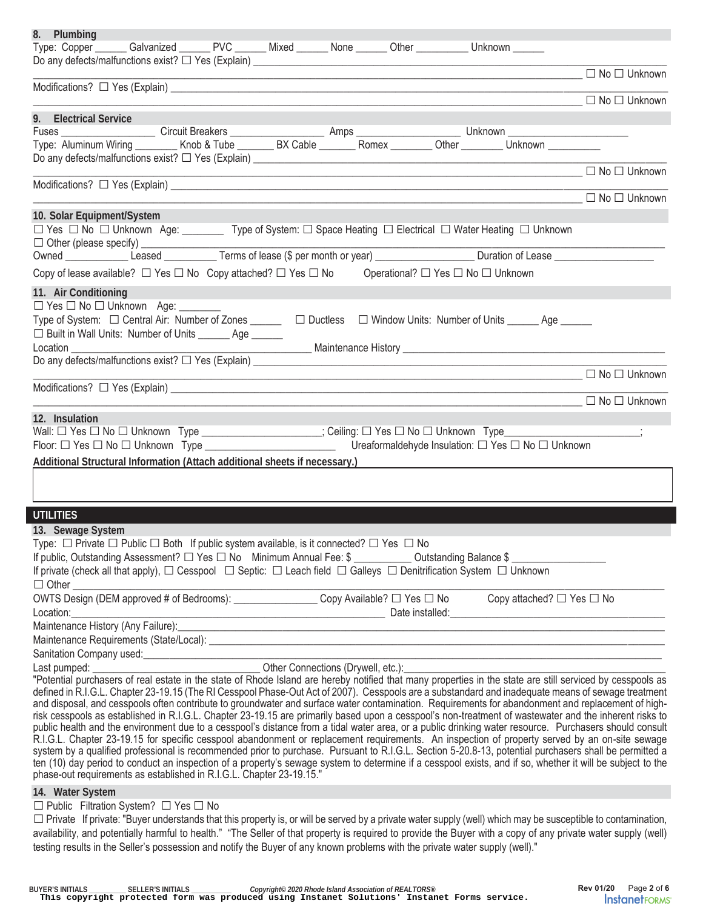| 8. Plumbing                                                                                                                                                                                                                                                                                                      |                          |
|------------------------------------------------------------------------------------------------------------------------------------------------------------------------------------------------------------------------------------------------------------------------------------------------------------------|--------------------------|
| Type: Copper_______Galvanized _______ PVC _______ Mixed ______ None _______ Other __________ Unknown ______                                                                                                                                                                                                      |                          |
| <u> 1989 - Johann Barn, mars ann an t-Amhain ann an t-Amhain ann an t-Amhain ann an t-Amhain ann an t-Amhain ann a</u>                                                                                                                                                                                           | $\Box$ No $\Box$ Unknown |
| <b>No □ Unknown</b> □ No □ Unknown                                                                                                                                                                                                                                                                               |                          |
| 9. Electrical Service                                                                                                                                                                                                                                                                                            |                          |
|                                                                                                                                                                                                                                                                                                                  |                          |
|                                                                                                                                                                                                                                                                                                                  |                          |
|                                                                                                                                                                                                                                                                                                                  |                          |
|                                                                                                                                                                                                                                                                                                                  |                          |
| <u> 1989 - Johann Stone, meil er sich aus der Stone der Stone der Stone der Stone der Stone der Stone der Stone </u>                                                                                                                                                                                             | $\Box$ No $\Box$ Unknown |
| 10. Solar Equipment/System<br>□ Yes □ No □ Unknown Age: __________ Type of System: □ Space Heating □ Electrical □ Water Heating □ Unknown                                                                                                                                                                        |                          |
|                                                                                                                                                                                                                                                                                                                  |                          |
|                                                                                                                                                                                                                                                                                                                  |                          |
| Copy of lease available? $\Box$ Yes $\Box$ No Copy attached? $\Box$ Yes $\Box$ No Operational? $\Box$ Yes $\Box$ No $\Box$ Unknown                                                                                                                                                                               |                          |
|                                                                                                                                                                                                                                                                                                                  |                          |
| 11. Air Conditioning<br>$\Box$ Yes $\Box$ No $\Box$ Unknown Age: ______                                                                                                                                                                                                                                          |                          |
| Type of System: □ Central Air: Number of Zones ______ □ Ductless □ Window Units: Number of Units _____ Age _____                                                                                                                                                                                                 |                          |
| □ Built in Wall Units: Number of Units _______ Age ______<br>Location <b>Exercise Services</b>                                                                                                                                                                                                                   |                          |
|                                                                                                                                                                                                                                                                                                                  |                          |
| ————————————————————————————— □ No □ Unknown                                                                                                                                                                                                                                                                     |                          |
|                                                                                                                                                                                                                                                                                                                  | $\Box$ No $\Box$ Unknown |
| 12. Insulation                                                                                                                                                                                                                                                                                                   |                          |
|                                                                                                                                                                                                                                                                                                                  |                          |
|                                                                                                                                                                                                                                                                                                                  |                          |
| Additional Structural Information (Attach additional sheets if necessary.)                                                                                                                                                                                                                                       |                          |
|                                                                                                                                                                                                                                                                                                                  |                          |
|                                                                                                                                                                                                                                                                                                                  |                          |
| <b>UTILITIES</b>                                                                                                                                                                                                                                                                                                 |                          |
| 13. Sewage System                                                                                                                                                                                                                                                                                                |                          |
| Type: □ Private □ Public □ Both If public system available, is it connected? □ Yes □ No                                                                                                                                                                                                                          |                          |
| If public, Outstanding Assessment? □ Yes □ No Minimum Annual Fee: \$ ____________ Outstanding Balance \$ ______________                                                                                                                                                                                          |                          |
| If private (check all that apply), $\Box$ Cesspool $\Box$ Septic: $\Box$ Leach field $\Box$ Galleys $\Box$ Denitrification System $\Box$ Unknown                                                                                                                                                                 |                          |
|                                                                                                                                                                                                                                                                                                                  |                          |
|                                                                                                                                                                                                                                                                                                                  |                          |
| Location: Date installed: Date installed: Date installed: Date installed: Date installed: Date installed: Date installed: Date installed: Date installed: Date installed: Development of the United States of the United State                                                                                   |                          |
|                                                                                                                                                                                                                                                                                                                  |                          |
|                                                                                                                                                                                                                                                                                                                  |                          |
|                                                                                                                                                                                                                                                                                                                  |                          |
|                                                                                                                                                                                                                                                                                                                  |                          |
| defined in R.I.G.L. Chapter 23-19.15 (The RI Cesspool Phase-Out Act of 2007). Cesspools are a substandard and inadequate means of sewage treatment                                                                                                                                                               |                          |
| and disposal, and cesspools often contribute to groundwater and surface water contamination. Requirements for abandonment and replacement of high-                                                                                                                                                               |                          |
| risk cesspools as established in R.I.G.L. Chapter 23-19.15 are primarily based upon a cesspool's non-treatment of wastewater and the inherent risks to<br>public health and the environment due to a cesspool's distance from a tidal water area, or a public drinking water resource. Purchasers should consult |                          |
| R.I.G.L. Chapter 23-19.15 for specific cesspool abandonment or replacement requirements. An inspection of property served by an on-site sewage                                                                                                                                                                   |                          |
| system by a qualified professional is recommended prior to purchase. Pursuant to R.I.G.L. Section 5-20.8-13, potential purchasers shall be permitted a                                                                                                                                                           |                          |
|                                                                                                                                                                                                                                                                                                                  |                          |
| ten (10) day period to conduct an inspection of a property's sewage system to determine if a cesspool exists, and if so, whether it will be subject to the                                                                                                                                                       |                          |
| phase-out requirements as established in R.I.G.L. Chapter 23-19.15."                                                                                                                                                                                                                                             |                          |
| 14. Water System                                                                                                                                                                                                                                                                                                 |                          |
| $\Box$ Public Filtration System? $\Box$ Yes $\Box$ No                                                                                                                                                                                                                                                            |                          |
| □ Private If private: "Buyer understands that this property is, or will be served by a private water supply (well) which may be susceptible to contamination,                                                                                                                                                    |                          |
| availability, and potentially harmful to health." "The Seller of that property is required to provide the Buyer with a copy of any private water supply (well)<br>testing results in the Seller's possession and notify the Buyer of any known problems with the private water supply (well)."                   |                          |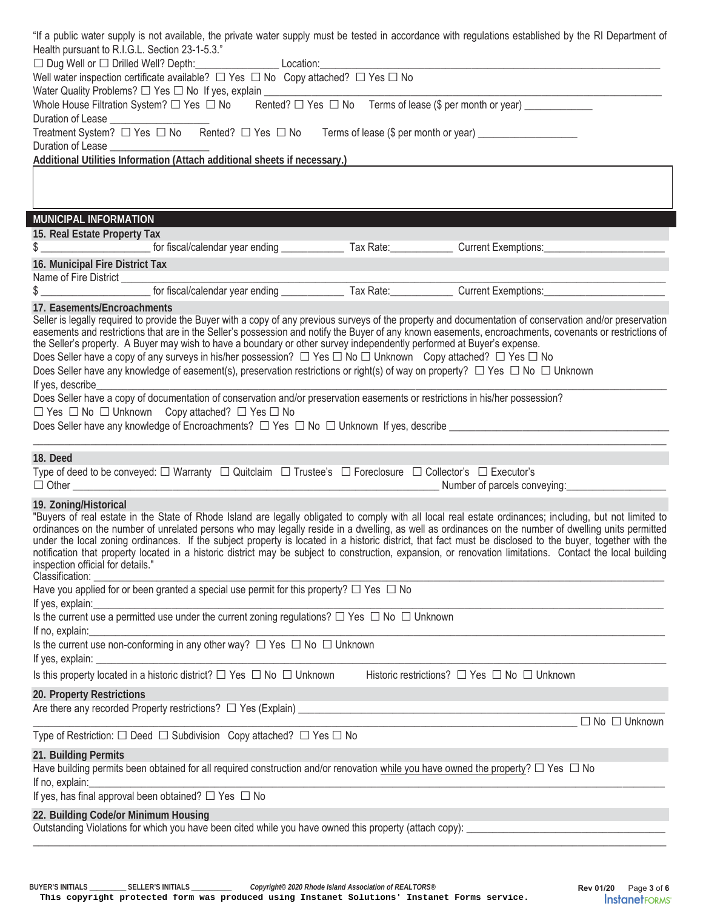|                                                      |                                                                                                                                              | "If a public water supply is not available, the private water supply must be tested in accordance with regulations established by the RI Department of                                                                                                                                                          |
|------------------------------------------------------|----------------------------------------------------------------------------------------------------------------------------------------------|-----------------------------------------------------------------------------------------------------------------------------------------------------------------------------------------------------------------------------------------------------------------------------------------------------------------|
| Health pursuant to R.I.G.L. Section 23-1-5.3."       |                                                                                                                                              |                                                                                                                                                                                                                                                                                                                 |
|                                                      | Well water inspection certificate available? $\Box$ Yes $\Box$ No Copy attached? $\Box$ Yes $\Box$ No                                        |                                                                                                                                                                                                                                                                                                                 |
|                                                      | Water Quality Problems? □ Yes □ No If yes, explain ____________________________                                                              |                                                                                                                                                                                                                                                                                                                 |
|                                                      | Whole House Filtration System? $\Box$ Yes $\Box$ No Rented? $\Box$ Yes $\Box$ No Terms of lease (\$ per month or year) ____________          |                                                                                                                                                                                                                                                                                                                 |
|                                                      |                                                                                                                                              |                                                                                                                                                                                                                                                                                                                 |
|                                                      |                                                                                                                                              |                                                                                                                                                                                                                                                                                                                 |
| Duration of Lease<br><u>Duration</u> of Lease        | Additional Utilities Information (Attach additional sheets if necessary.)                                                                    |                                                                                                                                                                                                                                                                                                                 |
|                                                      |                                                                                                                                              |                                                                                                                                                                                                                                                                                                                 |
|                                                      |                                                                                                                                              |                                                                                                                                                                                                                                                                                                                 |
|                                                      |                                                                                                                                              |                                                                                                                                                                                                                                                                                                                 |
| MUNICIPAL INFORMATION                                |                                                                                                                                              |                                                                                                                                                                                                                                                                                                                 |
| 15. Real Estate Property Tax                         |                                                                                                                                              |                                                                                                                                                                                                                                                                                                                 |
|                                                      |                                                                                                                                              | \$ ____________________________ for fiscal/calendar year ending _________________ Tax Rate: ______________ Current Exemptions: _______________                                                                                                                                                                  |
| 16. Municipal Fire District Tax                      |                                                                                                                                              |                                                                                                                                                                                                                                                                                                                 |
|                                                      |                                                                                                                                              |                                                                                                                                                                                                                                                                                                                 |
|                                                      |                                                                                                                                              |                                                                                                                                                                                                                                                                                                                 |
| 17. Easements/Encroachments                          |                                                                                                                                              | Seller is legally required to provide the Buyer with a copy of any previous surveys of the property and documentation of conservation and/or preservation                                                                                                                                                       |
|                                                      |                                                                                                                                              | easements and restrictions that are in the Seller's possession and notify the Buyer of any known easements, encroachments, covenants or restrictions of                                                                                                                                                         |
|                                                      | the Seller's property. A Buyer may wish to have a boundary or other survey independently performed at Buyer's expense.                       |                                                                                                                                                                                                                                                                                                                 |
|                                                      | Does Seller have a copy of any surveys in his/her possession? $\Box$ Yes $\Box$ No $\Box$ Unknown Copy attached? $\Box$ Yes $\Box$ No        |                                                                                                                                                                                                                                                                                                                 |
|                                                      | Does Seller have any knowledge of easement(s), preservation restrictions or right(s) of way on property? $\Box$ Yes $\Box$ No $\Box$ Unknown |                                                                                                                                                                                                                                                                                                                 |
|                                                      | Does Seller have a copy of documentation of conservation and/or preservation easements or restrictions in his/her possession?                |                                                                                                                                                                                                                                                                                                                 |
|                                                      | $\Box$ Yes $\Box$ No $\Box$ Unknown Copy attached? $\Box$ Yes $\Box$ No                                                                      |                                                                                                                                                                                                                                                                                                                 |
|                                                      |                                                                                                                                              | Does Seller have any knowledge of Encroachments? $\Box$ Yes $\Box$ No $\Box$ Unknown If yes, describe $\Box$                                                                                                                                                                                                    |
|                                                      |                                                                                                                                              |                                                                                                                                                                                                                                                                                                                 |
| 18. Deed                                             |                                                                                                                                              |                                                                                                                                                                                                                                                                                                                 |
|                                                      | Type of deed to be conveyed: $\Box$ Warranty $\Box$ Quitclaim $\Box$ Trustee's $\Box$ Foreclosure $\Box$ Collector's $\Box$ Executor's       |                                                                                                                                                                                                                                                                                                                 |
|                                                      |                                                                                                                                              | Number of parcels conveying: _________________                                                                                                                                                                                                                                                                  |
| 19. Zoning/Historical                                |                                                                                                                                              |                                                                                                                                                                                                                                                                                                                 |
|                                                      |                                                                                                                                              | "Buyers of real estate in the State of Rhode Island are legally obligated to comply with all local real estate ordinances; including, but not limited to<br>ordinances on the number of unrelated persons who may legally reside in a dwelling, as well as ordinances on the number of dwelling units permitted |
|                                                      |                                                                                                                                              | under the local zoning ordinances. If the subject property is located in a historic district, that fact must be disclosed to the buyer, together with the                                                                                                                                                       |
|                                                      |                                                                                                                                              | notification that property located in a historic district may be subject to construction, expansion, or renovation limitations. Contact the local building                                                                                                                                                      |
| inspection official for details."<br>Classification: |                                                                                                                                              |                                                                                                                                                                                                                                                                                                                 |
|                                                      | Have you applied for or been granted a special use permit for this property? $\Box$ Yes $\Box$ No                                            |                                                                                                                                                                                                                                                                                                                 |
| If yes, explain:                                     |                                                                                                                                              |                                                                                                                                                                                                                                                                                                                 |
|                                                      | Is the current use a permitted use under the current zoning regulations? $\Box$ Yes $\Box$ No $\Box$ Unknown                                 |                                                                                                                                                                                                                                                                                                                 |
| If no, explain:                                      | Is the current use non-conforming in any other way? $\Box$ Yes $\Box$ No $\Box$ Unknown                                                      |                                                                                                                                                                                                                                                                                                                 |
| If yes, explain:                                     |                                                                                                                                              |                                                                                                                                                                                                                                                                                                                 |
|                                                      | Is this property located in a historic district? $\Box$ Yes $\Box$ No $\Box$ Unknown                                                         | Historic restrictions? $\Box$ Yes $\Box$ No $\Box$ Unknown                                                                                                                                                                                                                                                      |
|                                                      |                                                                                                                                              |                                                                                                                                                                                                                                                                                                                 |
| 20. Property Restrictions                            |                                                                                                                                              |                                                                                                                                                                                                                                                                                                                 |
|                                                      |                                                                                                                                              | $\Box$ No $\Box$ Unknown                                                                                                                                                                                                                                                                                        |
|                                                      | Type of Restriction: $\square$ Deed $\square$ Subdivision Copy attached? $\square$ Yes $\square$ No                                          |                                                                                                                                                                                                                                                                                                                 |
| 21. Building Permits                                 |                                                                                                                                              |                                                                                                                                                                                                                                                                                                                 |
|                                                      | Have building permits been obtained for all required construction and/or renovation while you have owned the property? $\Box$ Yes $\Box$ No  |                                                                                                                                                                                                                                                                                                                 |
| If no, explain:                                      |                                                                                                                                              |                                                                                                                                                                                                                                                                                                                 |
|                                                      | If yes, has final approval been obtained? $\Box$ Yes $\Box$ No                                                                               |                                                                                                                                                                                                                                                                                                                 |
| 22. Building Code/or Minimum Housing                 |                                                                                                                                              |                                                                                                                                                                                                                                                                                                                 |
|                                                      | Outstanding Violations for which you have been cited while you have owned this property (attach copy): _                                     |                                                                                                                                                                                                                                                                                                                 |
|                                                      |                                                                                                                                              |                                                                                                                                                                                                                                                                                                                 |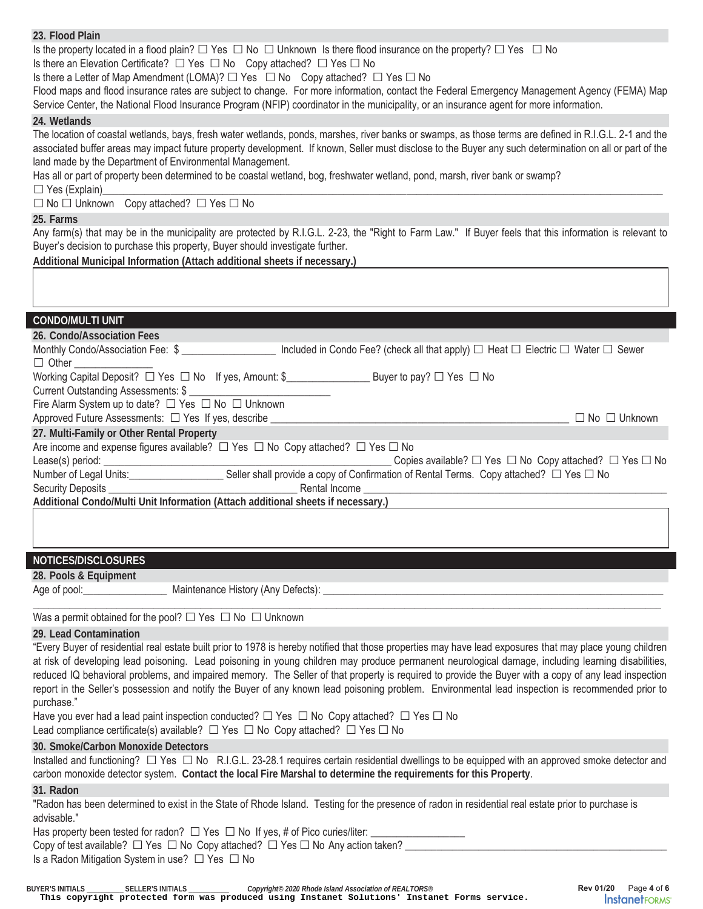**23. Flood Plain**  Is the property located in a flood plain?  $\Box$  Yes  $\Box$  No  $\Box$  Unknown Is there flood insurance on the property?  $\Box$  Yes  $\Box$  No Is there an Elevation Certificate?  $\Box$  Yes  $\Box$  No Copy attached?  $\Box$  Yes  $\Box$  No Is there a Letter of Map Amendment (LOMA)?  $\Box$  Yes  $\Box$  No Copy attached?  $\Box$  Yes  $\Box$  No Flood maps and flood insurance rates are subject to change. For more information, contact the Federal Emergency Management Agency (FEMA) Map Service Center, the National Flood Insurance Program (NFIP) coordinator in the municipality, or an insurance agent for more information. **24. Wetlands**  The location of coastal wetlands, bays, fresh water wetlands, ponds, marshes, river banks or swamps, as those terms are defined in R.I.G.L. 2-1 and the associated buffer areas may impact future property development. If known, Seller must disclose to the Buyer any such determination on all or part of the land made by the Department of Environmental Management. Has all or part of property been determined to be coastal wetland, bog, freshwater wetland, pond, marsh, river bank or swamp? □ Yes (Explain)\_\_\_\_\_\_\_\_\_\_\_\_\_\_\_\_\_\_\_\_\_\_\_\_\_\_\_\_\_\_\_\_\_\_\_\_\_\_\_\_\_\_\_\_\_\_\_\_\_\_\_\_\_\_\_\_\_\_\_\_\_\_\_\_\_\_\_\_\_\_\_\_\_\_\_\_\_\_\_\_\_\_\_\_\_\_\_\_\_\_\_\_\_\_\_\_\_\_\_\_\_\_\_\_\_\_\_ □ Yes (Explain)<br>□ No □ Unknown Copy attached? □ Yes □ No **25. Farms**  Any farm(s) that may be in the municipality are protected by R.I.G.L. 2-23, the "Right to Farm Law." If Buyer feels that this information is relevant to Buyer's decision to purchase this property, Buyer should investigate further. **Additional Municipal Information (Attach additional sheets if necessary.) CONDO/MULTI UNIT 26. Condo/Association Fees**  Monthly Condo/Association Fee: \$ \_\_\_\_\_\_\_\_\_\_\_\_\_\_\_\_\_\_ Included in Condo Fee? (check all that apply) □ Heat □ Electric □ Water □ Sewer  $\Box$  Other Working Capital Deposit? □ Yes □ No If yes, Amount: \$\_\_\_\_\_\_\_\_\_\_\_\_\_\_\_\_\_\_\_\_\_\_\_\_\_\_\_\_ Buyer to pay? □ Yes □ No Current Outstanding Assessments: \$ Fire Alarm System up to date? □ Yes □ No □ Unknown Approved Future Assessments: □ Yes If yes, describe \_\_\_\_\_\_\_\_\_\_\_\_\_\_\_\_\_\_\_\_\_\_\_\_\_\_\_\_\_\_\_\_\_\_\_\_\_\_\_\_\_\_\_\_\_\_\_\_\_\_\_\_\_\_\_\_\_ □ No □ Unknown **27. Multi-Family or Other Rental Property**  Are income and expense figures available?  $\square$  Yes  $\square$  No Copy attached?  $\square$  Yes  $\square$  No Lease(s) period: Copie Lease Copies available? □ Yes □ No Copy attached? □ Yes □ No Number of Legal Units:\_\_\_\_\_\_\_\_\_\_\_\_\_\_\_\_\_\_\_\_\_\_\_\_Seller shall provide a copy of Confirmation of Rental Terms. Copy attached? □ Yes □ No<br>Security Deposits **Dividend** Security Deposits Security Deposits **Example 20 Additional Condo/Multi Unit Information (Attach additional sheets if necessary.) NOTICES/DISCLOSURES 28. Pools & Equipment**  Age of pool: \_\_\_\_\_\_\_\_\_\_\_\_\_\_\_\_\_\_\_\_\_\_\_\_\_\_ Maintenance History (Any Defects): \_\_\_\_\_\_ **\_\_\_\_\_\_\_\_\_\_\_\_\_\_\_\_\_\_\_\_\_\_\_\_\_\_\_\_\_\_\_\_\_\_\_\_\_\_\_\_\_\_\_\_\_\_\_\_\_\_\_\_\_\_\_\_\_\_\_\_\_\_\_\_\_\_\_\_\_\_\_\_\_\_\_\_\_\_\_\_\_\_\_\_\_\_\_\_\_\_\_\_\_\_\_\_\_\_\_\_\_\_\_\_\_\_\_\_\_\_\_\_\_\_\_\_\_\_\_\_** 

Was a permit obtained for the pool?  $\Box$  Yes  $\Box$  No  $\Box$  Unknown

#### **29. Lead Contamination**

"Every Buyer of residential real estate built prior to 1978 is hereby notified that those properties may have lead exposures that may place young children at risk of developing lead poisoning. Lead poisoning in young children may produce permanent neurological damage, including learning disabilities, reduced IQ behavioral problems, and impaired memory. The Seller of that property is required to provide the Buyer with a copy of any lead inspection report in the Seller's possession and notify the Buyer of any known lead poisoning problem. Environmental lead inspection is recommended prior to purchase."

Have you ever had a lead paint inspection conducted?  $\Box$  Yes  $\Box$  No Copy attached?  $\Box$  Yes  $\Box$  No

Lead compliance certificate(s) available?  $\Box$  Yes  $\Box$  No Copy attached?  $\Box$  Yes  $\Box$  No

# **30. Smoke/Carbon Monoxide Detectors**

Installed and functioning? □ Yes □ No R.I.G.L. 23-28.1 requires certain residential dwellings to be equipped with an approved smoke detector and carbon monoxide detector system. **Contact the local Fire Marshal to determine the requirements for this Property**.

#### **31. Radon**

"Radon has been determined to exist in the State of Rhode Island. Testing for the presence of radon in residential real estate prior to purchase is advisable."

Has property been tested for radon?  $\Box$  Yes  $\Box$  No If yes, # of Pico curies/liter:  $\Box$ 

Copy of test available?  $\Box$  Yes  $\Box$  No Copy attached?  $\Box$  Yes  $\Box$  No Any action taken?  $\Box$ 

Is a Radon Mitigation System in use?  $\Box$  Yes  $\Box$  No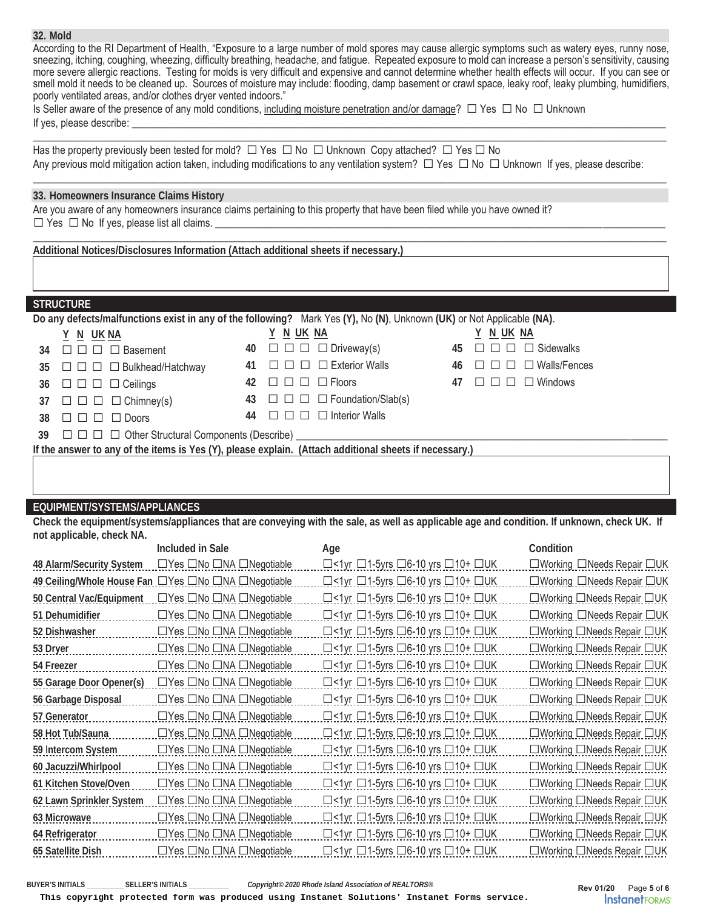#### **32. Mold**

According to the RI Department of Health, "Exposure to a large number of mold spores may cause allergic symptoms such as watery eyes, runny nose, sneezing, itching, coughing, wheezing, difficulty breathing, headache, and fatigue. Repeated exposure to mold can increase a person's sensitivity, causing more severe allergic reactions. Testing for molds is very difficult and expensive and cannot determine whether health effects will occur. If you can see or smell mold it needs to be cleaned up. Sources of moisture may include: flooding, damp basement or crawl space, leaky roof, leaky plumbing, humidifiers, poorly ventilated areas, and/or clothes dryer vented indoors."

 $\_$  , and the set of the set of the set of the set of the set of the set of the set of the set of the set of the set of the set of the set of the set of the set of the set of the set of the set of the set of the set of th

 $\_$  , and the set of the set of the set of the set of the set of the set of the set of the set of the set of the set of the set of the set of the set of the set of the set of the set of the set of the set of the set of th

\_\_\_\_\_\_\_\_\_\_\_\_\_\_\_\_\_\_\_\_\_\_\_\_\_\_\_\_\_\_\_\_\_\_\_\_\_\_\_\_\_\_\_\_\_\_\_\_\_\_\_\_\_\_\_\_\_\_\_\_\_\_\_\_\_\_\_\_\_\_\_\_\_\_\_\_\_\_\_\_\_\_\_\_\_\_\_\_\_\_\_\_\_\_\_\_\_\_\_\_\_\_\_\_\_\_\_\_\_\_\_\_\_\_\_\_\_\_\_\_\_

| Is Seller aware of the presence of any mold conditions, including moisture penetration and/or damage? $\Box$ Yes $\Box$ No $\Box$ Unknown |  |
|-------------------------------------------------------------------------------------------------------------------------------------------|--|
|                                                                                                                                           |  |
| If yes, please describe:                                                                                                                  |  |

Has the property previously been tested for mold?  $\Box$  Yes  $\Box$  No  $\Box$  Unknown Copy attached?  $\Box$  Yes  $\Box$  No Any previous mold mitigation action taken, including modifications to any ventilation system? □ Yes □ No □ Unknown If yes, please describe:

#### **33. Homeowners Insurance Claims History**

Are you aware of any homeowners insurance claims pertaining to this property that have been filed while you have owned it?  $\square$  Yes  $\square$  No If yes, please list all claims.

**Additional Notices/Disclosures Information (Attach additional sheets if necessary.)** 

## **STRUCTURE**

| Do any defects/malfunctions exist in any of the following? Mark Yes (Y), No (N), Unknown (UK) or Not Applicable (NA). |  |                                                   |  |                                                |  |
|-----------------------------------------------------------------------------------------------------------------------|--|---------------------------------------------------|--|------------------------------------------------|--|
| <u>Y N UKNA</u>                                                                                                       |  | <u>Y N UK NA</u>                                  |  | Y N UK NA                                      |  |
| 34 $\Box$ $\Box$ $\Box$ Basement                                                                                      |  | 40 $\Box$ $\Box$ $\Box$ Driveway(s)               |  | $45 \square \square \square \square$ Sidewalks |  |
| 35 $\Box$ $\Box$ $\Box$ $\Box$ Bulkhead/Hatchway                                                                      |  | 41 $\Box$ $\Box$ $\Box$ Exterior Walls            |  | 46 $\Box$ $\Box$ $\Box$ Walls/Fences           |  |
| 36 $\Box$ $\Box$ $\Box$ $\Box$ Ceilings                                                                               |  | 42 000 D Floors                                   |  | 47 $\Box$ $\Box$ $\Box$ Windows                |  |
| 37 $\Box$ $\Box$ $\Box$ $\Box$ Chimney(s)                                                                             |  | 43 $\Box$ $\Box$ $\Box$ $\Box$ Foundation/Slab(s) |  |                                                |  |
| $38 \square \square \square \square$ Doors                                                                            |  | 44 $\Box$ $\Box$ $\Box$ Interior Walls            |  |                                                |  |
| 39 $\Box$ $\Box$ $\Box$ Other Structural Components (Describe) ________________________                               |  |                                                   |  |                                                |  |

**If the answer to any of the items is Yes (Y), please explain. (Attach additional sheets if necessary.)** 

## **EQUIPMENT/SYSTEMS/APPLIANCES**

**Check the equipment/systems/appliances that are conveying with the sale, as well as applicable age and condition. If unknown, check UK. If not applicable, check NA.** 

|                                 | Included in Sale                                    | Age                                                                | Condition                                    |
|---------------------------------|-----------------------------------------------------|--------------------------------------------------------------------|----------------------------------------------|
| <b>48 Alarm/Security System</b> | $\Box$ Yes $\Box$ No $\Box$ NA $\Box$ Negotiable    | $\Box$ < 1 yr $\Box$ 1-5 yrs $\Box$ 6-10 yrs $\Box$ 10 + $\Box$ UK | $\Box$ Working $\Box$ Needs Repair $\Box$ UK |
|                                 | 49 Ceiling/Whole House Fan DYes ONo ONA ONegotiable | $\Box$ <1yr $\Box$ 1-5yrs $\Box$ 6-10 yrs $\Box$ 10+ $\Box$ UK     | □Working □Needs Repair □UK                   |
| 50 Central Vac/Equipment        | $\Box$ Yes $\Box$ No $\Box$ NA $\Box$ Negotiable    | $\Box$ <1yr $\Box$ 1-5yrs $\Box$ 6-10 yrs $\Box$ 10+ $\Box$ UK     | $\Box$ Working $\Box$ Needs Repair $\Box$ UK |
| 51 Dehumidifier                 | $\Box$ Yes $\Box$ No $\Box$ NA $\Box$ Negotiable    | $\Box$ <1yr $\Box$ 1-5yrs $\Box$ 6-10 yrs $\Box$ 10+ $\Box$ UK     | □Working □Needs Repair □UK                   |
| 52 Dishwasher                   | $\Box$ Yes $\Box$ No $\Box$ NA $\Box$ Negotiable    | $\Box$ <1yr $\Box$ 1-5yrs $\Box$ 6-10 yrs $\Box$ 10+ $\Box$ UK     | $\Box$ Working $\Box$ Needs Repair $\Box$ UK |
| 53 Dryer                        | $\Box$ Yes $\Box$ No $\Box$ NA $\Box$ Negotiable    | $\Box$ <1yr $\Box$ 1-5yrs $\Box$ 6-10 yrs $\Box$ 10+ $\Box$ UK     | □Working □Needs Repair □UK                   |
| 54 Freezer                      | $\Box$ Yes $\Box$ No $\Box$ NA $\Box$ Negotiable    | $\Box$ <1yr $\Box$ 1-5yrs $\Box$ 6-10 yrs $\Box$ 10+ $\Box$ UK     | ∟Working ∟Needs Repair ∟UK                   |
| 55 Garage Door Opener(s)        | $\Box$ Yes $\Box$ No $\Box$ NA $\Box$ Negotiable    | $\Box$ <1yr $\Box$ 1-5yrs $\Box$ 6-10 yrs $\Box$ 10+ $\Box$ UK     | $\Box$ Working $\Box$ Needs Repair $\Box$ UK |
| 56 Garbage Disposal             | $\Box$ Yes $\Box$ No $\Box$ NA $\Box$ Negotiable    | $\Box$ <1yr $\Box$ 1-5yrs $\Box$ 6-10 yrs $\Box$ 10+ $\Box$ UK     | $\Box$ Working $\Box$ Needs Repair $\Box$ UK |
| 57 Generator                    | $\Box$ Yes $\Box$ No $\Box$ NA $\Box$ Negotiable    | $\Box$ <1yr $\Box$ 1-5yrs $\Box$ 6-10 yrs $\Box$ 10+ $\Box$ UK     | $\Box$ Working $\Box$ Needs Repair $\Box$ UK |
| 58 Hot Tub/Sauna                | $\Box$ Yes $\Box$ No $\Box$ NA $\Box$ Negotiable    | $\Box$ <1yr $\Box$ 1-5yrs $\Box$ 6-10 yrs $\Box$ 10+ $\Box$ UK     | □Working □Needs Repair □UK                   |
| 59 Intercom System              | $\Box$ Yes $\Box$ No $\Box$ NA $\Box$ Negotiable    | $\Box$ <1yr $\Box$ 1-5yrs $\Box$ 6-10 yrs $\Box$ 10+ $\Box$ UK     | $\Box$ Working $\Box$ Needs Repair $\Box$ UK |
| 60 Jacuzzi/Whirlpool            | $\Box$ Yes $\Box$ No $\Box$ NA $\Box$ Negotiable    | $\Box$ <1yr $\Box$ 1-5yrs $\Box$ 6-10 yrs $\Box$ 10+ $\Box$ UK     | $\Box$ Working $\Box$ Needs Repair $\Box$ UK |
| 61 Kitchen Stove/Oven           | $\Box$ Yes $\Box$ No $\Box$ NA $\Box$ Negotiable    | $\Box$ <1yr $\Box$ 1-5yrs $\Box$ 6-10 yrs $\Box$ 10+ $\Box$ UK     | $\Box$ Working $\Box$ Needs Repair $\Box$ UK |
| 62 Lawn Sprinkler System        | $\Box$ Yes $\Box$ No $\Box$ NA $\Box$ Negotiable    | $\Box$ <1yr $\Box$ 1-5yrs $\Box$ 6-10 yrs $\Box$ 10+ $\Box$ UK     | $\Box$ Working $\Box$ Needs Repair $\Box$ UK |
| 63 Microwave                    | $\Box$ Yes $\Box$ No $\Box$ NA $\Box$ Negotiable    | $\Box$ <1yr $\Box$ 1-5yrs $\Box$ 6-10 yrs $\Box$ 10+ $\Box$ UK     | $\Box$ Working $\Box$ Needs Repair $\Box$ UK |
| 64 Refrigerator                 | $\Box$ Yes $\Box$ No $\Box$ NA $\Box$ Negotiable    | $\Box$ <1yr $\Box$ 1-5yrs $\Box$ 6-10 yrs $\Box$ 10+ $\Box$ UK     | $\Box$ Working $\Box$ Needs Repair $\Box$ UK |
| 65 Satellite Dish               | $\Box$ Yes $\Box$ No $\Box$ NA $\Box$ Negotiable    | $\Box$ <1yr $\Box$ 1-5yrs $\Box$ 6-10 yrs $\Box$ 10+ $\Box$ UK     | $\Box$ Working $\Box$ Needs Repair $\Box$ UK |
|                                 |                                                     |                                                                    |                                              |

**BUYER'S INITIALS \_\_\_\_\_\_\_\_\_\_ SELLER'S INITIALS \_\_\_\_\_\_\_\_\_\_\_** *Copyright© 2020 Rhode Island Association of REALTORS®*